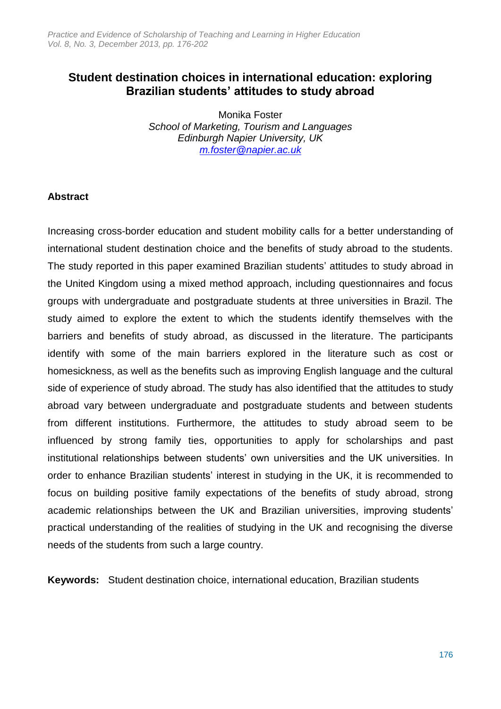# **Student destination choices in international education: exploring Brazilian students' attitudes to study abroad**

Monika Foster *School of Marketing, Tourism and Languages Edinburgh Napier University, UK [m.foster@napier.ac.uk](mailto:m.foster@napier.ac.uk)*

# **Abstract**

Increasing cross-border education and student mobility calls for a better understanding of international student destination choice and the benefits of study abroad to the students. The study reported in this paper examined Brazilian students' attitudes to study abroad in the United Kingdom using a mixed method approach, including questionnaires and focus groups with undergraduate and postgraduate students at three universities in Brazil. The study aimed to explore the extent to which the students identify themselves with the barriers and benefits of study abroad, as discussed in the literature. The participants identify with some of the main barriers explored in the literature such as cost or homesickness, as well as the benefits such as improving English language and the cultural side of experience of study abroad. The study has also identified that the attitudes to study abroad vary between undergraduate and postgraduate students and between students from different institutions. Furthermore, the attitudes to study abroad seem to be influenced by strong family ties, opportunities to apply for scholarships and past institutional relationships between students' own universities and the UK universities. In order to enhance Brazilian students' interest in studying in the UK, it is recommended to focus on building positive family expectations of the benefits of study abroad, strong academic relationships between the UK and Brazilian universities, improving students' practical understanding of the realities of studying in the UK and recognising the diverse needs of the students from such a large country.

**Keywords:** Student destination choice, international education, Brazilian students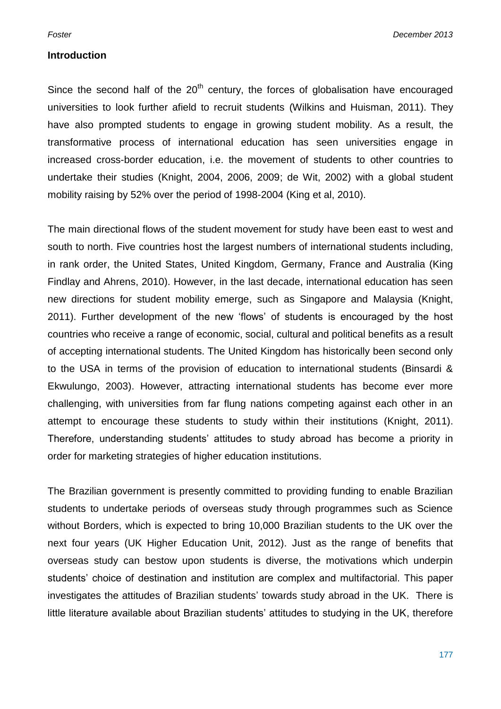#### **Introduction**

Since the second half of the  $20<sup>th</sup>$  century, the forces of globalisation have encouraged universities to look further afield to recruit students (Wilkins and Huisman, 2011). They have also prompted students to engage in growing student mobility. As a result, the transformative process of international education has seen universities engage in increased cross-border education, i.e. the movement of students to other countries to undertake their studies (Knight, 2004, 2006, 2009; de Wit, 2002) with a global student mobility raising by 52% over the period of 1998-2004 (King et al, 2010).

The main directional flows of the student movement for study have been east to west and south to north. Five countries host the largest numbers of international students including, in rank order, the United States, United Kingdom, Germany, France and Australia (King Findlay and Ahrens, 2010). However, in the last decade, international education has seen new directions for student mobility emerge, such as Singapore and Malaysia (Knight, 2011). Further development of the new 'flows' of students is encouraged by the host countries who receive a range of economic, social, cultural and political benefits as a result of accepting international students. The United Kingdom has historically been second only to the USA in terms of the provision of education to international students (Binsardi & Ekwulungo, 2003). However, attracting international students has become ever more challenging, with universities from far flung nations competing against each other in an attempt to encourage these students to study within their institutions (Knight, 2011). Therefore, understanding students' attitudes to study abroad has become a priority in order for marketing strategies of higher education institutions.

The Brazilian government is presently committed to providing funding to enable Brazilian students to undertake periods of overseas study through programmes such as Science without Borders, which is expected to bring 10,000 Brazilian students to the UK over the next four years (UK Higher Education Unit, 2012). Just as the range of benefits that overseas study can bestow upon students is diverse, the motivations which underpin students' choice of destination and institution are complex and multifactorial. This paper investigates the attitudes of Brazilian students' towards study abroad in the UK. There is little literature available about Brazilian students' attitudes to studying in the UK, therefore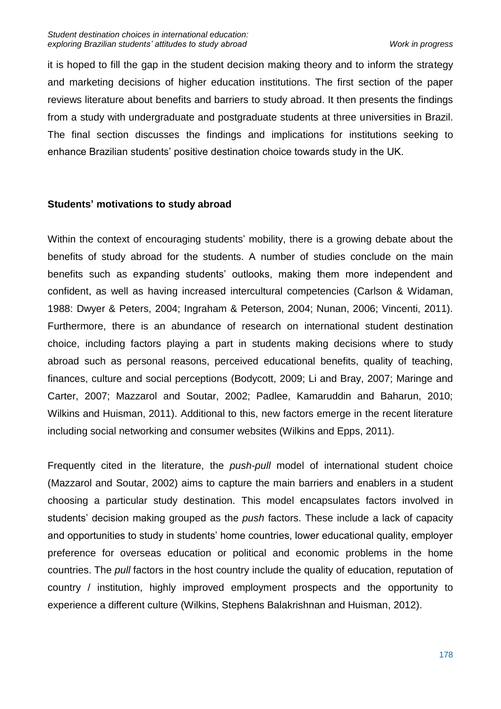it is hoped to fill the gap in the student decision making theory and to inform the strategy and marketing decisions of higher education institutions. The first section of the paper reviews literature about benefits and barriers to study abroad. It then presents the findings from a study with undergraduate and postgraduate students at three universities in Brazil. The final section discusses the findings and implications for institutions seeking to enhance Brazilian students' positive destination choice towards study in the UK.

# **Students' motivations to study abroad**

Within the context of encouraging students' mobility, there is a growing debate about the benefits of study abroad for the students. A number of studies conclude on the main benefits such as expanding students' outlooks, making them more independent and confident, as well as having increased intercultural competencies (Carlson & Widaman, 1988: Dwyer & Peters, 2004; Ingraham & Peterson, 2004; Nunan, 2006; Vincenti, 2011). Furthermore, there is an abundance of research on international student destination choice, including factors playing a part in students making decisions where to study abroad such as personal reasons, perceived educational benefits, quality of teaching, finances, culture and social perceptions (Bodycott, 2009; Li and Bray, 2007; Maringe and Carter, 2007; Mazzarol and Soutar, 2002; Padlee, Kamaruddin and Baharun, 2010; Wilkins and Huisman, 2011). Additional to this, new factors emerge in the recent literature including social networking and consumer websites (Wilkins and Epps, 2011).

Frequently cited in the literature, the *push-pull* model of international student choice (Mazzarol and Soutar, 2002) aims to capture the main barriers and enablers in a student choosing a particular study destination. This model encapsulates factors involved in students' decision making grouped as the *push* factors. These include a lack of capacity and opportunities to study in students' home countries, lower educational quality, employer preference for overseas education or political and economic problems in the home countries. The *pull* factors in the host country include the quality of education, reputation of country / institution, highly improved employment prospects and the opportunity to experience a different culture (Wilkins, Stephens Balakrishnan and Huisman, 2012).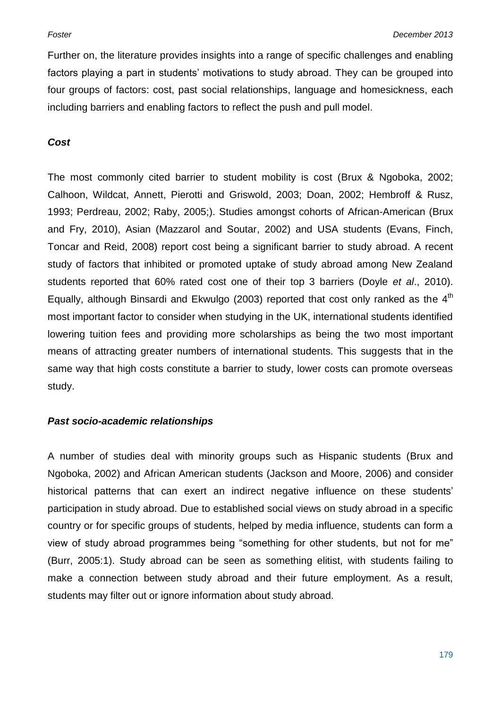Further on, the literature provides insights into a range of specific challenges and enabling factors playing a part in students' motivations to study abroad. They can be grouped into four groups of factors: cost, past social relationships, language and homesickness, each including barriers and enabling factors to reflect the push and pull model.

#### *Cost*

The most commonly cited barrier to student mobility is cost (Brux & Ngoboka, 2002; Calhoon, Wildcat, Annett, Pierotti and Griswold, 2003; Doan, 2002; Hembroff & Rusz, 1993; Perdreau, 2002; Raby, 2005;). Studies amongst cohorts of African-American (Brux and Fry, 2010), Asian (Mazzarol and Soutar, 2002) and USA students (Evans, Finch, Toncar and Reid, 2008) report cost being a significant barrier to study abroad. A recent study of factors that inhibited or promoted uptake of study abroad among New Zealand students reported that 60% rated cost one of their top 3 barriers (Doyle *et al*., 2010). Equally, although Binsardi and Ekwulgo (2003) reported that cost only ranked as the  $4<sup>th</sup>$ most important factor to consider when studying in the UK, international students identified lowering tuition fees and providing more scholarships as being the two most important means of attracting greater numbers of international students. This suggests that in the same way that high costs constitute a barrier to study, lower costs can promote overseas study.

# *Past socio-academic relationships*

A number of studies deal with minority groups such as Hispanic students (Brux and Ngoboka, 2002) and African American students (Jackson and Moore, 2006) and consider historical patterns that can exert an indirect negative influence on these students' participation in study abroad. Due to established social views on study abroad in a specific country or for specific groups of students, helped by media influence, students can form a view of study abroad programmes being "something for other students, but not for me" (Burr, 2005:1). Study abroad can be seen as something elitist, with students failing to make a connection between study abroad and their future employment. As a result, students may filter out or ignore information about study abroad.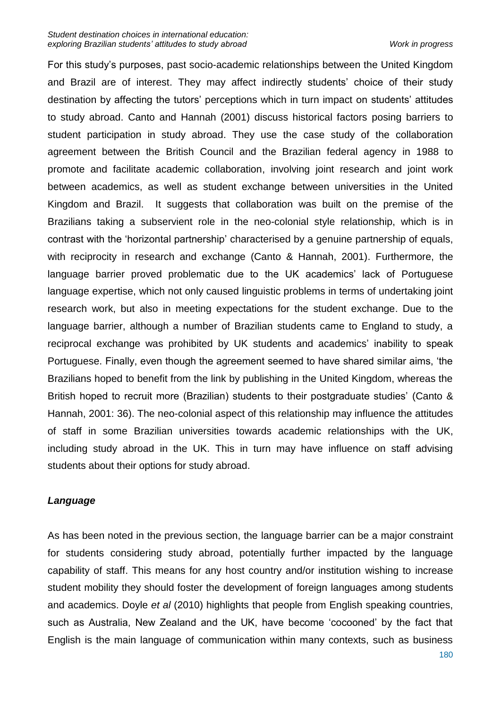For this study's purposes, past socio-academic relationships between the United Kingdom and Brazil are of interest. They may affect indirectly students' choice of their study destination by affecting the tutors' perceptions which in turn impact on students' attitudes to study abroad. Canto and Hannah (2001) discuss historical factors posing barriers to student participation in study abroad. They use the case study of the collaboration agreement between the British Council and the Brazilian federal agency in 1988 to promote and facilitate academic collaboration, involving joint research and joint work between academics, as well as student exchange between universities in the United Kingdom and Brazil. It suggests that collaboration was built on the premise of the Brazilians taking a subservient role in the neo-colonial style relationship, which is in contrast with the 'horizontal partnership' characterised by a genuine partnership of equals, with reciprocity in research and exchange (Canto & Hannah, 2001). Furthermore, the language barrier proved problematic due to the UK academics' lack of Portuguese language expertise, which not only caused linguistic problems in terms of undertaking joint research work, but also in meeting expectations for the student exchange. Due to the language barrier, although a number of Brazilian students came to England to study, a reciprocal exchange was prohibited by UK students and academics' inability to speak Portuguese. Finally, even though the agreement seemed to have shared similar aims, 'the Brazilians hoped to benefit from the link by publishing in the United Kingdom, whereas the British hoped to recruit more (Brazilian) students to their postgraduate studies' (Canto & Hannah, 2001: 36). The neo-colonial aspect of this relationship may influence the attitudes of staff in some Brazilian universities towards academic relationships with the UK, including study abroad in the UK. This in turn may have influence on staff advising students about their options for study abroad.

# *Language*

As has been noted in the previous section, the language barrier can be a major constraint for students considering study abroad, potentially further impacted by the language capability of staff. This means for any host country and/or institution wishing to increase student mobility they should foster the development of foreign languages among students and academics. Doyle *et al* (2010) highlights that people from English speaking countries, such as Australia, New Zealand and the UK, have become 'cocooned' by the fact that English is the main language of communication within many contexts, such as business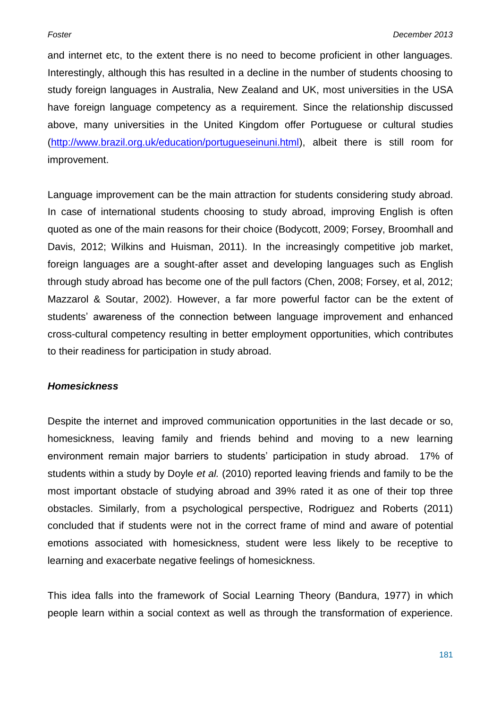and internet etc, to the extent there is no need to become proficient in other languages. Interestingly, although this has resulted in a decline in the number of students choosing to study foreign languages in Australia, New Zealand and UK, most universities in the USA have foreign language competency as a requirement. Since the relationship discussed above, many universities in the United Kingdom offer Portuguese or cultural studies [\(http://www.brazil.org.uk/education/portugueseinuni.html\)](http://www.brazil.org.uk/education/portugueseinuni.html), albeit there is still room for improvement.

Language improvement can be the main attraction for students considering study abroad. In case of international students choosing to study abroad, improving English is often quoted as one of the main reasons for their choice (Bodycott, 2009; Forsey, Broomhall and Davis, 2012; Wilkins and Huisman, 2011). In the increasingly competitive job market, foreign languages are a sought-after asset and developing languages such as English through study abroad has become one of the pull factors (Chen, 2008; Forsey, et al, 2012; Mazzarol & Soutar, 2002). However, a far more powerful factor can be the extent of students' awareness of the connection between language improvement and enhanced cross-cultural competency resulting in better employment opportunities, which contributes to their readiness for participation in study abroad.

#### *Homesickness*

Despite the internet and improved communication opportunities in the last decade or so, homesickness, leaving family and friends behind and moving to a new learning environment remain major barriers to students' participation in study abroad. 17% of students within a study by Doyle *et al.* (2010) reported leaving friends and family to be the most important obstacle of studying abroad and 39% rated it as one of their top three obstacles. Similarly, from a psychological perspective, Rodriguez and Roberts (2011) concluded that if students were not in the correct frame of mind and aware of potential emotions associated with homesickness, student were less likely to be receptive to learning and exacerbate negative feelings of homesickness.

This idea falls into the framework of Social Learning Theory (Bandura, 1977) in which people learn within a social context as well as through the transformation of experience.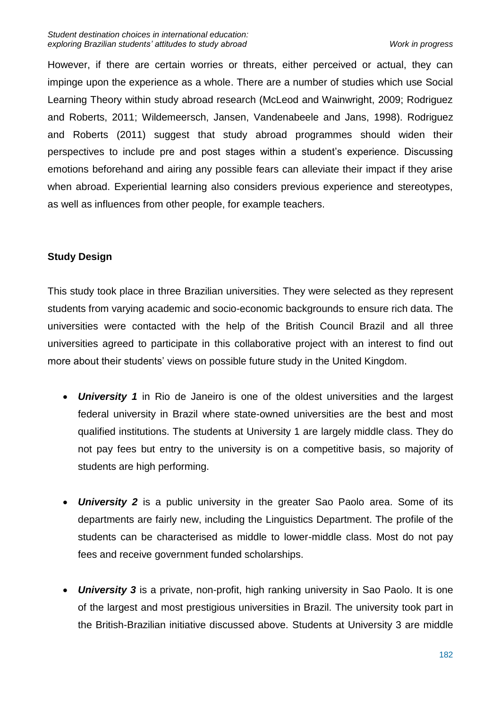However, if there are certain worries or threats, either perceived or actual, they can impinge upon the experience as a whole. There are a number of studies which use Social Learning Theory within study abroad research (McLeod and Wainwright, 2009; Rodriguez and Roberts, 2011; Wildemeersch, Jansen, Vandenabeele and Jans, 1998). Rodriguez and Roberts (2011) suggest that study abroad programmes should widen their perspectives to include pre and post stages within a student's experience. Discussing emotions beforehand and airing any possible fears can alleviate their impact if they arise when abroad. Experiential learning also considers previous experience and stereotypes, as well as influences from other people, for example teachers.

# **Study Design**

This study took place in three Brazilian universities. They were selected as they represent students from varying academic and socio-economic backgrounds to ensure rich data. The universities were contacted with the help of the British Council Brazil and all three universities agreed to participate in this collaborative project with an interest to find out more about their students' views on possible future study in the United Kingdom.

- *University 1* in Rio de Janeiro is one of the oldest universities and the largest federal university in Brazil where state-owned universities are the best and most qualified institutions. The students at University 1 are largely middle class. They do not pay fees but entry to the university is on a competitive basis, so majority of students are high performing.
- *University 2* is a public university in the greater Sao Paolo area. Some of its departments are fairly new, including the Linguistics Department. The profile of the students can be characterised as middle to lower-middle class. Most do not pay fees and receive government funded scholarships.
- *University 3* is a private, non-profit, high ranking university in Sao Paolo. It is one of the largest and most prestigious universities in Brazil. The university took part in the British-Brazilian initiative discussed above. Students at University 3 are middle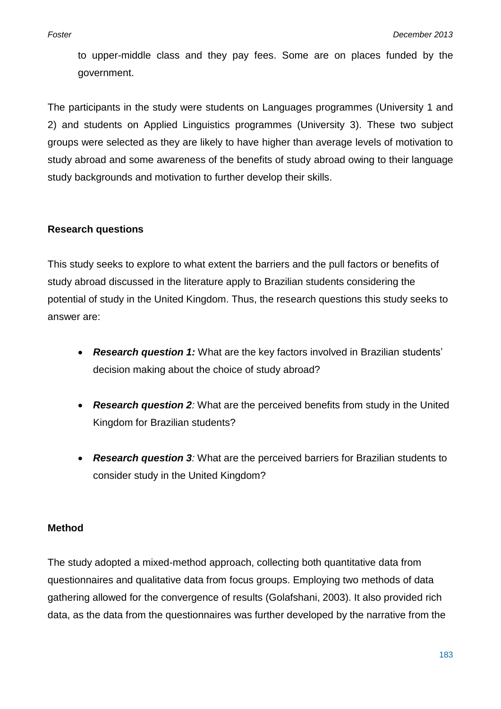to upper-middle class and they pay fees. Some are on places funded by the government.

The participants in the study were students on Languages programmes (University 1 and 2) and students on Applied Linguistics programmes (University 3). These two subject groups were selected as they are likely to have higher than average levels of motivation to study abroad and some awareness of the benefits of study abroad owing to their language study backgrounds and motivation to further develop their skills.

# **Research questions**

This study seeks to explore to what extent the barriers and the pull factors or benefits of study abroad discussed in the literature apply to Brazilian students considering the potential of study in the United Kingdom. Thus, the research questions this study seeks to answer are:

- *Research question 1:* What are the key factors involved in Brazilian students' decision making about the choice of study abroad?
- *Research question 2:* What are the perceived benefits from study in the United Kingdom for Brazilian students?
- *Research question 3:* What are the perceived barriers for Brazilian students to consider study in the United Kingdom?

# **Method**

The study adopted a mixed-method approach, collecting both quantitative data from questionnaires and qualitative data from focus groups. Employing two methods of data gathering allowed for the convergence of results (Golafshani, 2003). It also provided rich data, as the data from the questionnaires was further developed by the narrative from the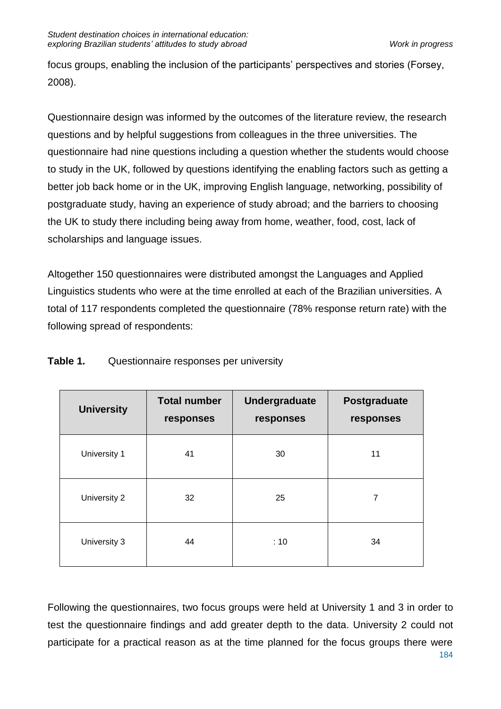focus groups, enabling the inclusion of the participants' perspectives and stories (Forsey, 2008).

Questionnaire design was informed by the outcomes of the literature review, the research questions and by helpful suggestions from colleagues in the three universities. The questionnaire had nine questions including a question whether the students would choose to study in the UK, followed by questions identifying the enabling factors such as getting a better job back home or in the UK, improving English language, networking, possibility of postgraduate study, having an experience of study abroad; and the barriers to choosing the UK to study there including being away from home, weather, food, cost, lack of scholarships and language issues.

Altogether 150 questionnaires were distributed amongst the Languages and Applied Linguistics students who were at the time enrolled at each of the Brazilian universities. A total of 117 respondents completed the questionnaire (78% response return rate) with the following spread of respondents:

| <b>University</b> | <b>Total number</b><br>responses | <b>Undergraduate</b><br>responses | Postgraduate<br>responses |
|-------------------|----------------------------------|-----------------------------------|---------------------------|
| University 1      | 41                               | 30                                | 11                        |
| University 2      | 32                               | 25                                | $\overline{7}$            |
| University 3      | 44                               | :10                               | 34                        |

**Table 1.** Questionnaire responses per university

Following the questionnaires, two focus groups were held at University 1 and 3 in order to test the questionnaire findings and add greater depth to the data. University 2 could not participate for a practical reason as at the time planned for the focus groups there were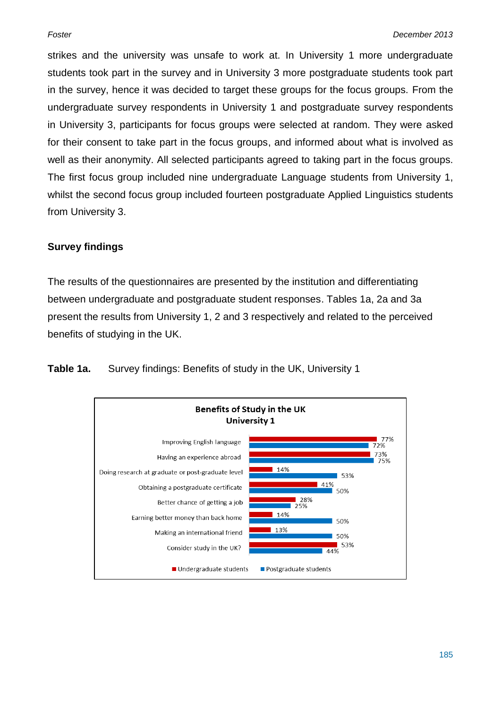strikes and the university was unsafe to work at. In University 1 more undergraduate students took part in the survey and in University 3 more postgraduate students took part in the survey, hence it was decided to target these groups for the focus groups. From the undergraduate survey respondents in University 1 and postgraduate survey respondents in University 3, participants for focus groups were selected at random. They were asked for their consent to take part in the focus groups, and informed about what is involved as well as their anonymity. All selected participants agreed to taking part in the focus groups. The first focus group included nine undergraduate Language students from University 1, whilst the second focus group included fourteen postgraduate Applied Linguistics students from University 3.

# **Survey findings**

The results of the questionnaires are presented by the institution and differentiating between undergraduate and postgraduate student responses. Tables 1a, 2a and 3a present the results from University 1, 2 and 3 respectively and related to the perceived benefits of studying in the UK.

**Table 1a.** Survey findings: Benefits of study in the UK, University 1

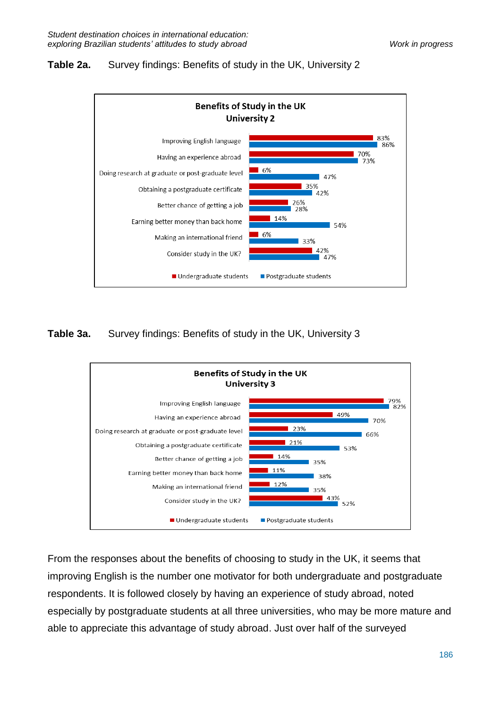# **Table 2a.** Survey findings: Benefits of study in the UK, University 2



**Table 3a.** Survey findings: Benefits of study in the UK, University 3



From the responses about the benefits of choosing to study in the UK, it seems that improving English is the number one motivator for both undergraduate and postgraduate respondents. It is followed closely by having an experience of study abroad, noted especially by postgraduate students at all three universities, who may be more mature and able to appreciate this advantage of study abroad. Just over half of the surveyed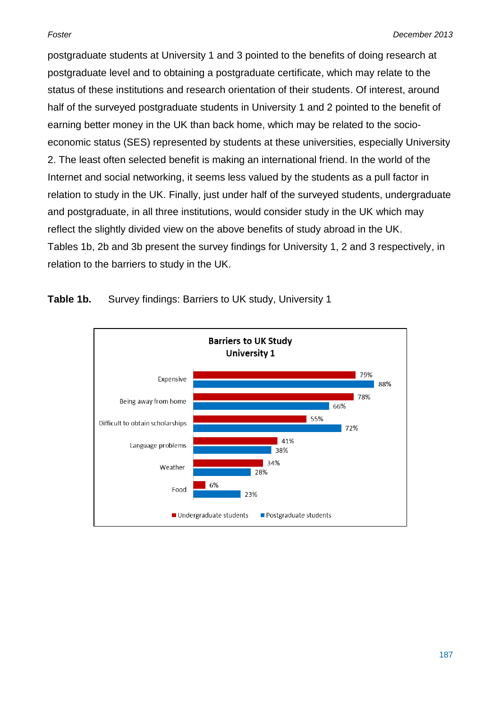postgraduate students at University 1 and 3 pointed to the benefits of doing research at postgraduate level and to obtaining a postgraduate certificate, which may relate to the status of these institutions and research orientation of their students. Of interest, around half of the surveyed postgraduate students in University 1 and 2 pointed to the benefit of earning better money in the UK than back home, which may be related to the socioeconomic status (SES) represented by students at these universities, especially University 2. The least often selected benefit is making an international friend. In the world of the Internet and social networking, it seems less valued by the students as a pull factor in relation to study in the UK. Finally, just under half of the surveyed students, undergraduate and postgraduate, in all three institutions, would consider study in the UK which may reflect the slightly divided view on the above benefits of study abroad in the UK. Tables 1b, 2b and 3b present the survey findings for University 1, 2 and 3 respectively, in relation to the barriers to study in the UK.



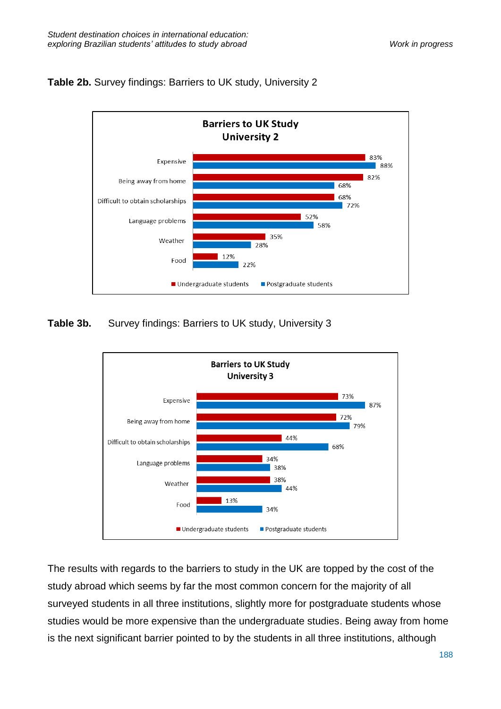# **Table 2b.** Survey findings: Barriers to UK study, University 2



# **Table 3b.** Survey findings: Barriers to UK study, University 3



The results with regards to the barriers to study in the UK are topped by the cost of the study abroad which seems by far the most common concern for the majority of all surveyed students in all three institutions, slightly more for postgraduate students whose studies would be more expensive than the undergraduate studies. Being away from home is the next significant barrier pointed to by the students in all three institutions, although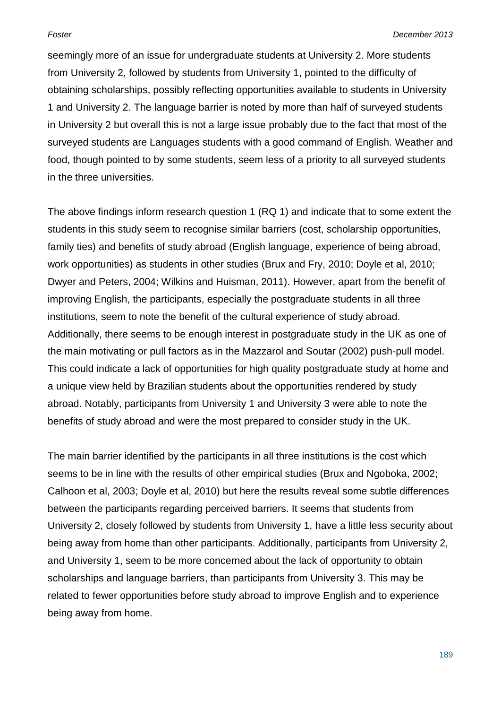seemingly more of an issue for undergraduate students at University 2. More students from University 2, followed by students from University 1, pointed to the difficulty of obtaining scholarships, possibly reflecting opportunities available to students in University 1 and University 2. The language barrier is noted by more than half of surveyed students in University 2 but overall this is not a large issue probably due to the fact that most of the surveyed students are Languages students with a good command of English. Weather and food, though pointed to by some students, seem less of a priority to all surveyed students in the three universities.

The above findings inform research question 1 (RQ 1) and indicate that to some extent the students in this study seem to recognise similar barriers (cost, scholarship opportunities, family ties) and benefits of study abroad (English language, experience of being abroad, work opportunities) as students in other studies (Brux and Fry, 2010; Doyle et al, 2010; Dwyer and Peters, 2004; Wilkins and Huisman, 2011). However, apart from the benefit of improving English, the participants, especially the postgraduate students in all three institutions, seem to note the benefit of the cultural experience of study abroad. Additionally, there seems to be enough interest in postgraduate study in the UK as one of the main motivating or pull factors as in the Mazzarol and Soutar (2002) push-pull model. This could indicate a lack of opportunities for high quality postgraduate study at home and a unique view held by Brazilian students about the opportunities rendered by study abroad. Notably, participants from University 1 and University 3 were able to note the benefits of study abroad and were the most prepared to consider study in the UK.

The main barrier identified by the participants in all three institutions is the cost which seems to be in line with the results of other empirical studies (Brux and Ngoboka, 2002; Calhoon et al, 2003; Doyle et al, 2010) but here the results reveal some subtle differences between the participants regarding perceived barriers. It seems that students from University 2, closely followed by students from University 1, have a little less security about being away from home than other participants. Additionally, participants from University 2, and University 1, seem to be more concerned about the lack of opportunity to obtain scholarships and language barriers, than participants from University 3. This may be related to fewer opportunities before study abroad to improve English and to experience being away from home.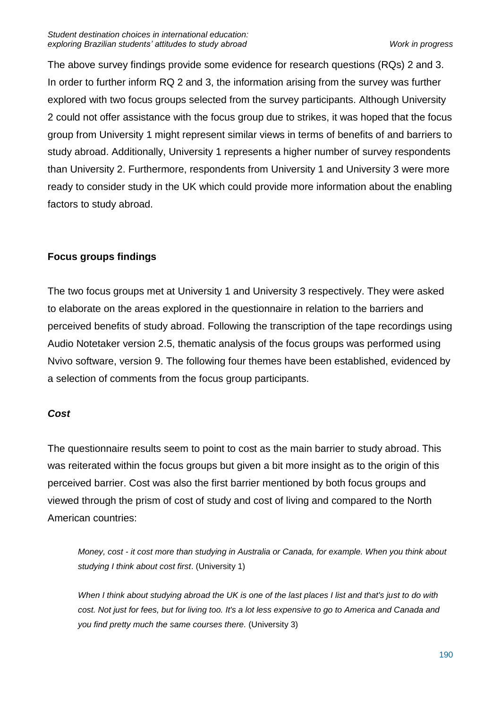The above survey findings provide some evidence for research questions (RQs) 2 and 3. In order to further inform RQ 2 and 3, the information arising from the survey was further explored with two focus groups selected from the survey participants. Although University 2 could not offer assistance with the focus group due to strikes, it was hoped that the focus group from University 1 might represent similar views in terms of benefits of and barriers to study abroad. Additionally, University 1 represents a higher number of survey respondents than University 2. Furthermore, respondents from University 1 and University 3 were more ready to consider study in the UK which could provide more information about the enabling factors to study abroad.

# **Focus groups findings**

The two focus groups met at University 1 and University 3 respectively. They were asked to elaborate on the areas explored in the questionnaire in relation to the barriers and perceived benefits of study abroad. Following the transcription of the tape recordings using Audio Notetaker version 2.5, thematic analysis of the focus groups was performed using Nvivo software, version 9. The following four themes have been established, evidenced by a selection of comments from the focus group participants.

# *Cost*

The questionnaire results seem to point to cost as the main barrier to study abroad. This was reiterated within the focus groups but given a bit more insight as to the origin of this perceived barrier. Cost was also the first barrier mentioned by both focus groups and viewed through the prism of cost of study and cost of living and compared to the North American countries:

*Money, cost - it cost more than studying in Australia or Canada, for example. When you think about studying I think about cost first*. (University 1)

*When I think about studying abroad the UK is one of the last places I list and that's just to do with cost. Not just for fees, but for living too. It's a lot less expensive to go to America and Canada and you find pretty much the same courses there.* (University 3)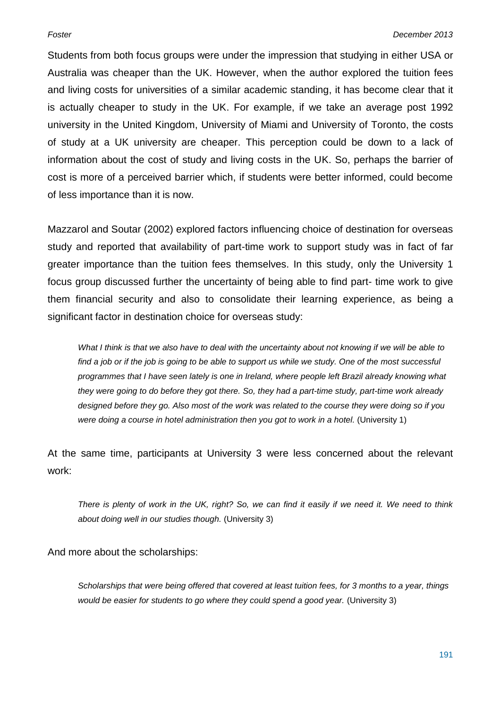Students from both focus groups were under the impression that studying in either USA or Australia was cheaper than the UK. However, when the author explored the tuition fees and living costs for universities of a similar academic standing, it has become clear that it is actually cheaper to study in the UK. For example, if we take an average post 1992 university in the United Kingdom, University of Miami and University of Toronto, the costs of study at a UK university are cheaper. This perception could be down to a lack of information about the cost of study and living costs in the UK. So, perhaps the barrier of cost is more of a perceived barrier which, if students were better informed, could become of less importance than it is now.

Mazzarol and Soutar (2002) explored factors influencing choice of destination for overseas study and reported that availability of part-time work to support study was in fact of far greater importance than the tuition fees themselves. In this study, only the University 1 focus group discussed further the uncertainty of being able to find part- time work to give them financial security and also to consolidate their learning experience, as being a significant factor in destination choice for overseas study:

*What I think is that we also have to deal with the uncertainty about not knowing if we will be able to find a job or if the job is going to be able to support us while we study. One of the most successful programmes that I have seen lately is one in Ireland, where people left Brazil already knowing what they were going to do before they got there. So, they had a part-time study, part-time work already designed before they go. Also most of the work was related to the course they were doing so if you were doing a course in hotel administration then you got to work in a hotel.* (University 1)

At the same time, participants at University 3 were less concerned about the relevant work:

*There is plenty of work in the UK, right? So, we can find it easily if we need it. We need to think about doing well in our studies though.* (University 3)

And more about the scholarships:

*Scholarships that were being offered that covered at least tuition fees, for 3 months to a year, things would be easier for students to go where they could spend a good year.* (University 3)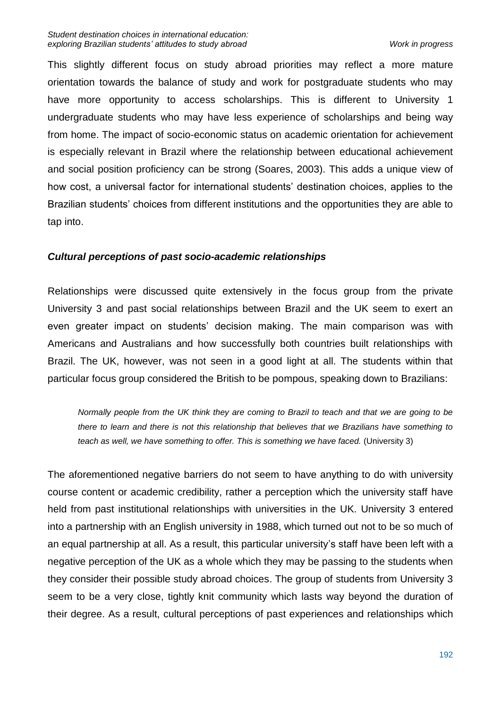This slightly different focus on study abroad priorities may reflect a more mature orientation towards the balance of study and work for postgraduate students who may have more opportunity to access scholarships. This is different to University 1 undergraduate students who may have less experience of scholarships and being way from home. The impact of socio-economic status on academic orientation for achievement is especially relevant in Brazil where the relationship between educational achievement and social position proficiency can be strong (Soares, 2003). This adds a unique view of how cost, a universal factor for international students' destination choices, applies to the Brazilian students' choices from different institutions and the opportunities they are able to tap into.

# *Cultural perceptions of past socio-academic relationships*

Relationships were discussed quite extensively in the focus group from the private University 3 and past social relationships between Brazil and the UK seem to exert an even greater impact on students' decision making. The main comparison was with Americans and Australians and how successfully both countries built relationships with Brazil. The UK, however, was not seen in a good light at all. The students within that particular focus group considered the British to be pompous, speaking down to Brazilians:

*Normally people from the UK think they are coming to Brazil to teach and that we are going to be there to learn and there is not this relationship that believes that we Brazilians have something to teach as well, we have something to offer. This is something we have faced.* (University 3)

The aforementioned negative barriers do not seem to have anything to do with university course content or academic credibility, rather a perception which the university staff have held from past institutional relationships with universities in the UK. University 3 entered into a partnership with an English university in 1988, which turned out not to be so much of an equal partnership at all. As a result, this particular university's staff have been left with a negative perception of the UK as a whole which they may be passing to the students when they consider their possible study abroad choices. The group of students from University 3 seem to be a very close, tightly knit community which lasts way beyond the duration of their degree. As a result, cultural perceptions of past experiences and relationships which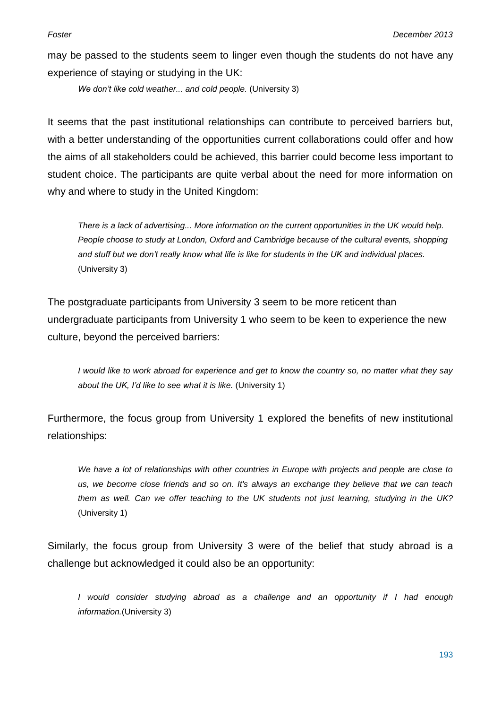may be passed to the students seem to linger even though the students do not have any experience of staying or studying in the UK:

*We don't like cold weather... and cold people.* (University 3)

It seems that the past institutional relationships can contribute to perceived barriers but, with a better understanding of the opportunities current collaborations could offer and how the aims of all stakeholders could be achieved, this barrier could become less important to student choice. The participants are quite verbal about the need for more information on why and where to study in the United Kingdom:

*There is a lack of advertising... More information on the current opportunities in the UK would help. People choose to study at London, Oxford and Cambridge because of the cultural events, shopping and stuff but we don't really know what life is like for students in the UK and individual places.* (University 3)

The postgraduate participants from University 3 seem to be more reticent than undergraduate participants from University 1 who seem to be keen to experience the new culture, beyond the perceived barriers:

*I would like to work abroad for experience and get to know the country so, no matter what they say about the UK, I'd like to see what it is like.* (University 1)

Furthermore, the focus group from University 1 explored the benefits of new institutional relationships:

*We have a lot of relationships with other countries in Europe with projects and people are close to us, we become close friends and so on. It's always an exchange they believe that we can teach them as well. Can we offer teaching to the UK students not just learning, studying in the UK?* (University 1)

Similarly, the focus group from University 3 were of the belief that study abroad is a challenge but acknowledged it could also be an opportunity:

*I would consider studying abroad as a challenge and an opportunity if I had enough information.*(University 3)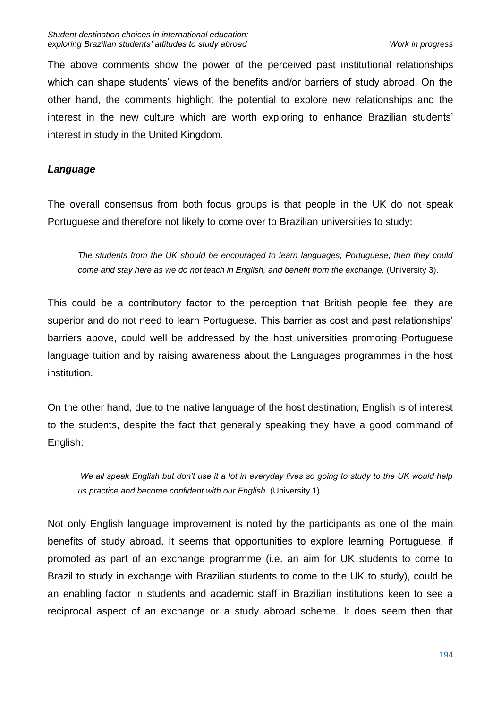The above comments show the power of the perceived past institutional relationships which can shape students' views of the benefits and/or barriers of study abroad. On the other hand, the comments highlight the potential to explore new relationships and the interest in the new culture which are worth exploring to enhance Brazilian students' interest in study in the United Kingdom.

# *Language*

The overall consensus from both focus groups is that people in the UK do not speak Portuguese and therefore not likely to come over to Brazilian universities to study:

*The students from the UK should be encouraged to learn languages, Portuguese, then they could come and stay here as we do not teach in English, and benefit from the exchange.* (University 3).

This could be a contributory factor to the perception that British people feel they are superior and do not need to learn Portuguese. This barrier as cost and past relationships' barriers above, could well be addressed by the host universities promoting Portuguese language tuition and by raising awareness about the Languages programmes in the host institution.

On the other hand, due to the native language of the host destination, English is of interest to the students, despite the fact that generally speaking they have a good command of English:

*We all speak English but don't use it a lot in everyday lives so going to study to the UK would help us practice and become confident with our English.* (University 1)

Not only English language improvement is noted by the participants as one of the main benefits of study abroad. It seems that opportunities to explore learning Portuguese, if promoted as part of an exchange programme (i.e. an aim for UK students to come to Brazil to study in exchange with Brazilian students to come to the UK to study), could be an enabling factor in students and academic staff in Brazilian institutions keen to see a reciprocal aspect of an exchange or a study abroad scheme. It does seem then that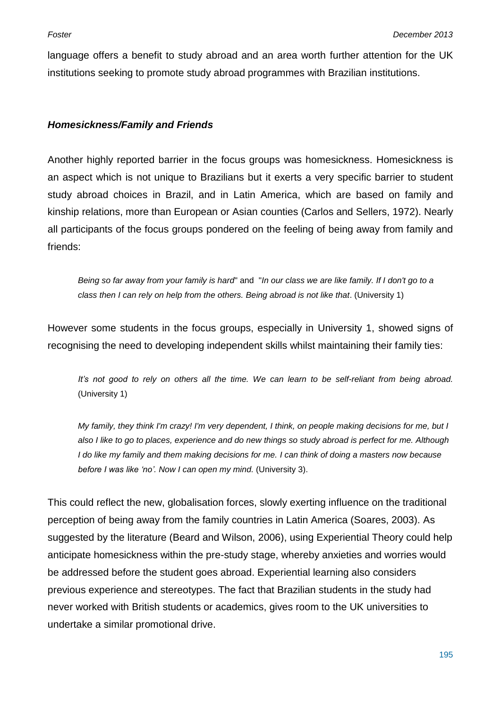language offers a benefit to study abroad and an area worth further attention for the UK institutions seeking to promote study abroad programmes with Brazilian institutions.

# *Homesickness/Family and Friends*

Another highly reported barrier in the focus groups was homesickness. Homesickness is an aspect which is not unique to Brazilians but it exerts a very specific barrier to student study abroad choices in Brazil, and in Latin America, which are based on family and kinship relations, more than European or Asian counties (Carlos and Sellers, 1972). Nearly all participants of the focus groups pondered on the feeling of being away from family and friends:

*Being so far away from your family is hard*" and "*In our class we are like family. If I don't go to a class then I can rely on help from the others. Being abroad is not like that*. (University 1)

However some students in the focus groups, especially in University 1, showed signs of recognising the need to developing independent skills whilst maintaining their family ties:

*It's not good to rely on others all the time. We can learn to be self-reliant from being abroad.* (University 1)

*My family, they think I'm crazy! I'm very dependent, I think, on people making decisions for me, but I also I like to go to places, experience and do new things so study abroad is perfect for me. Although I do like my family and them making decisions for me. I can think of doing a masters now because before I was like 'no'. Now I can open my mind.* (University 3).

This could reflect the new, globalisation forces, slowly exerting influence on the traditional perception of being away from the family countries in Latin America (Soares, 2003). As suggested by the literature (Beard and Wilson, 2006), using Experiential Theory could help anticipate homesickness within the pre-study stage, whereby anxieties and worries would be addressed before the student goes abroad. Experiential learning also considers previous experience and stereotypes. The fact that Brazilian students in the study had never worked with British students or academics, gives room to the UK universities to undertake a similar promotional drive.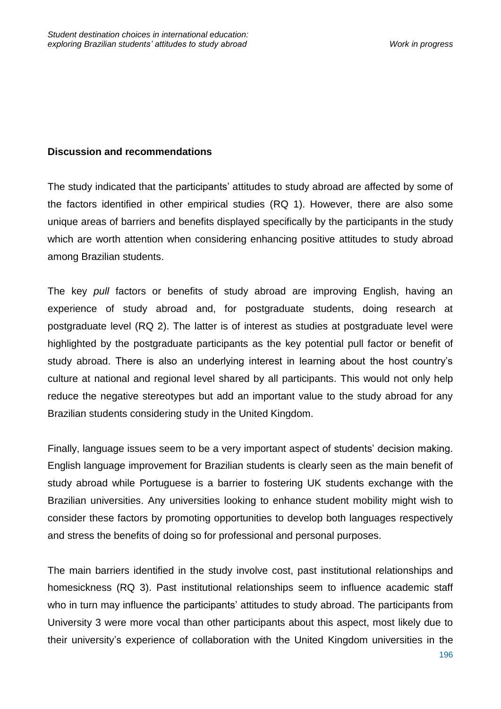# **Discussion and recommendations**

The study indicated that the participants' attitudes to study abroad are affected by some of the factors identified in other empirical studies (RQ 1). However, there are also some unique areas of barriers and benefits displayed specifically by the participants in the study which are worth attention when considering enhancing positive attitudes to study abroad among Brazilian students.

The key *pull* factors or benefits of study abroad are improving English, having an experience of study abroad and, for postgraduate students, doing research at postgraduate level (RQ 2). The latter is of interest as studies at postgraduate level were highlighted by the postgraduate participants as the key potential pull factor or benefit of study abroad. There is also an underlying interest in learning about the host country's culture at national and regional level shared by all participants. This would not only help reduce the negative stereotypes but add an important value to the study abroad for any Brazilian students considering study in the United Kingdom.

Finally, language issues seem to be a very important aspect of students' decision making. English language improvement for Brazilian students is clearly seen as the main benefit of study abroad while Portuguese is a barrier to fostering UK students exchange with the Brazilian universities. Any universities looking to enhance student mobility might wish to consider these factors by promoting opportunities to develop both languages respectively and stress the benefits of doing so for professional and personal purposes.

The main barriers identified in the study involve cost, past institutional relationships and homesickness (RQ 3). Past institutional relationships seem to influence academic staff who in turn may influence the participants' attitudes to study abroad. The participants from University 3 were more vocal than other participants about this aspect, most likely due to their university's experience of collaboration with the United Kingdom universities in the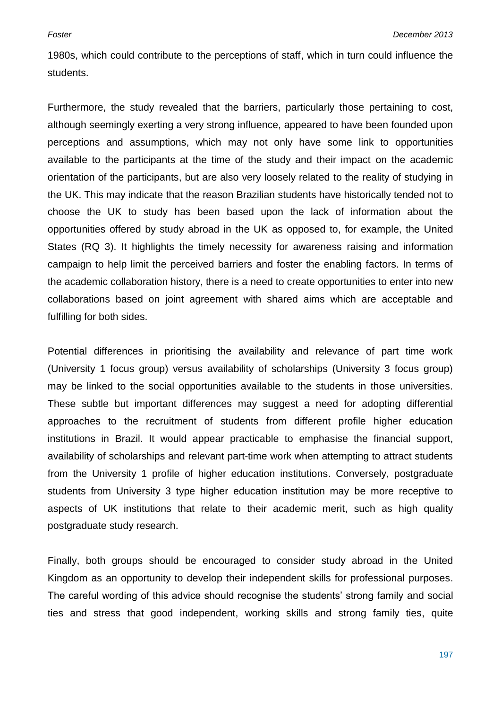1980s, which could contribute to the perceptions of staff, which in turn could influence the students.

Furthermore, the study revealed that the barriers, particularly those pertaining to cost, although seemingly exerting a very strong influence, appeared to have been founded upon perceptions and assumptions, which may not only have some link to opportunities available to the participants at the time of the study and their impact on the academic orientation of the participants, but are also very loosely related to the reality of studying in the UK. This may indicate that the reason Brazilian students have historically tended not to choose the UK to study has been based upon the lack of information about the opportunities offered by study abroad in the UK as opposed to, for example, the United States (RQ 3). It highlights the timely necessity for awareness raising and information campaign to help limit the perceived barriers and foster the enabling factors. In terms of the academic collaboration history, there is a need to create opportunities to enter into new collaborations based on joint agreement with shared aims which are acceptable and fulfilling for both sides.

Potential differences in prioritising the availability and relevance of part time work (University 1 focus group) versus availability of scholarships (University 3 focus group) may be linked to the social opportunities available to the students in those universities. These subtle but important differences may suggest a need for adopting differential approaches to the recruitment of students from different profile higher education institutions in Brazil. It would appear practicable to emphasise the financial support, availability of scholarships and relevant part-time work when attempting to attract students from the University 1 profile of higher education institutions. Conversely, postgraduate students from University 3 type higher education institution may be more receptive to aspects of UK institutions that relate to their academic merit, such as high quality postgraduate study research.

Finally, both groups should be encouraged to consider study abroad in the United Kingdom as an opportunity to develop their independent skills for professional purposes. The careful wording of this advice should recognise the students' strong family and social ties and stress that good independent, working skills and strong family ties, quite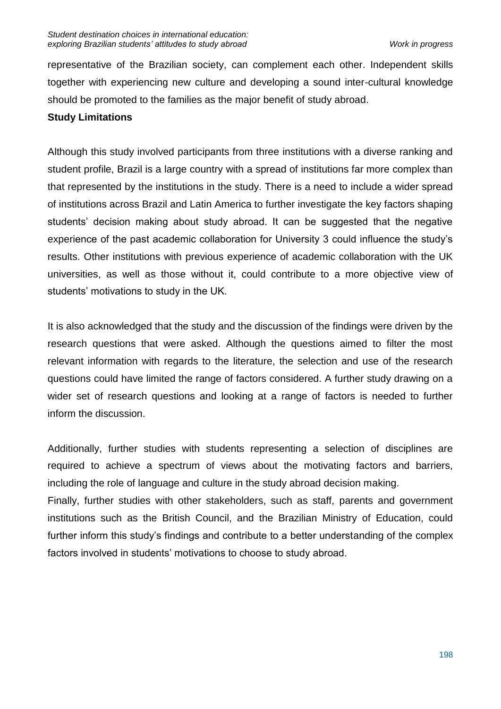representative of the Brazilian society, can complement each other. Independent skills together with experiencing new culture and developing a sound inter-cultural knowledge should be promoted to the families as the major benefit of study abroad.

# **Study Limitations**

Although this study involved participants from three institutions with a diverse ranking and student profile, Brazil is a large country with a spread of institutions far more complex than that represented by the institutions in the study. There is a need to include a wider spread of institutions across Brazil and Latin America to further investigate the key factors shaping students' decision making about study abroad. It can be suggested that the negative experience of the past academic collaboration for University 3 could influence the study's results. Other institutions with previous experience of academic collaboration with the UK universities, as well as those without it, could contribute to a more objective view of students' motivations to study in the UK.

It is also acknowledged that the study and the discussion of the findings were driven by the research questions that were asked. Although the questions aimed to filter the most relevant information with regards to the literature, the selection and use of the research questions could have limited the range of factors considered. A further study drawing on a wider set of research questions and looking at a range of factors is needed to further inform the discussion.

Additionally, further studies with students representing a selection of disciplines are required to achieve a spectrum of views about the motivating factors and barriers, including the role of language and culture in the study abroad decision making.

Finally, further studies with other stakeholders, such as staff, parents and government institutions such as the British Council, and the Brazilian Ministry of Education, could further inform this study's findings and contribute to a better understanding of the complex factors involved in students' motivations to choose to study abroad.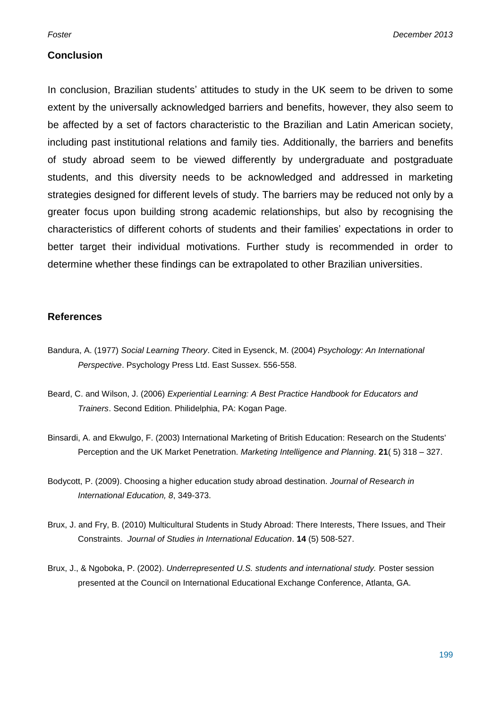#### **Conclusion**

In conclusion, Brazilian students' attitudes to study in the UK seem to be driven to some extent by the universally acknowledged barriers and benefits, however, they also seem to be affected by a set of factors characteristic to the Brazilian and Latin American society, including past institutional relations and family ties. Additionally, the barriers and benefits of study abroad seem to be viewed differently by undergraduate and postgraduate students, and this diversity needs to be acknowledged and addressed in marketing strategies designed for different levels of study. The barriers may be reduced not only by a greater focus upon building strong academic relationships, but also by recognising the characteristics of different cohorts of students and their families' expectations in order to better target their individual motivations. Further study is recommended in order to determine whether these findings can be extrapolated to other Brazilian universities.

#### **References**

- Bandura, A. (1977) *Social Learning Theory*. Cited in Eysenck, M. (2004) *Psychology: An International Perspective*. Psychology Press Ltd. East Sussex. 556-558.
- Beard, C. and Wilson, J. (2006) *Experiential Learning: A Best Practice Handbook for Educators and Trainers*. Second Edition. Philidelphia, PA: Kogan Page.
- Binsardi, A. and Ekwulgo, F. (2003) International Marketing of British Education: Research on the Students' Perception and the UK Market Penetration. *Marketing Intelligence and Planning*. **21**( 5) 318 – 327.
- Bodycott, P. (2009). Choosing a higher education study abroad destination. *Journal of Research in International Education, 8*, 349-373.
- Brux, J. and Fry, B. (2010) Multicultural Students in Study Abroad: There Interests, There Issues, and Their Constraints. *Journal of Studies in International Education*. **14** (5) 508-527.
- Brux, J., & Ngoboka, P. (2002). *Underrepresented U.S. students and international study.* Poster session presented at the Council on International Educational Exchange Conference, Atlanta, GA.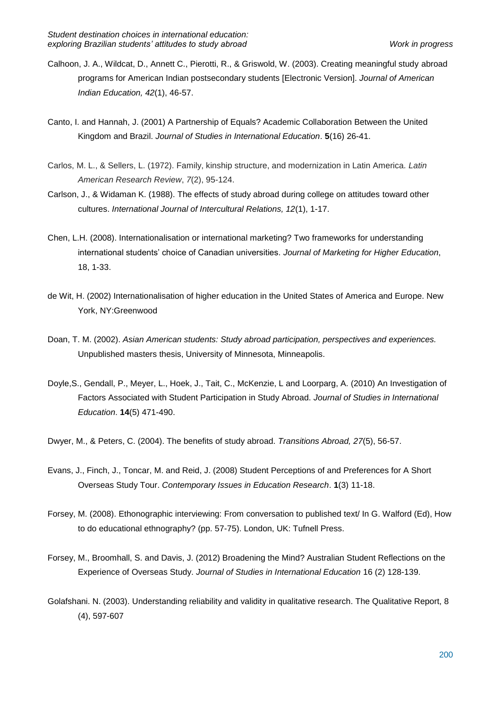- Calhoon, J. A., Wildcat, D., Annett C., Pierotti, R., & Griswold, W. (2003). Creating meaningful study abroad programs for American Indian postsecondary students [Electronic Version]. *Journal of American Indian Education, 42*(1), 46-57.
- Canto, I. and Hannah, J. (2001) A Partnership of Equals? Academic Collaboration Between the United Kingdom and Brazil. *Journal of Studies in International Education*. **5**(16) 26-41.
- Carlos, M. L., & Sellers, L. (1972). Family, kinship structure, and modernization in Latin America. *Latin American Research Review*, *7*(2), 95-124.
- Carlson, J., & Widaman K. (1988). The effects of study abroad during college on attitudes toward other cultures. *International Journal of Intercultural Relations, 12*(1), 1-17.
- Chen, L.H. (2008). Internationalisation or international marketing? Two frameworks for understanding international students' choice of Canadian universities. *Journal of Marketing for Higher Education*, 18, 1-33.
- de Wit, H. (2002) Internationalisation of higher education in the United States of America and Europe. New York, NY:Greenwood
- Doan, T. M. (2002). *Asian American students: Study abroad participation, perspectives and experiences.* Unpublished masters thesis, University of Minnesota, Minneapolis.
- Doyle,S., Gendall, P., Meyer, L., Hoek, J., Tait, C., McKenzie, L and Loorparg, A. (2010) An Investigation of Factors Associated with Student Participation in Study Abroad. *Journal of Studies in International Education*. **14**(5) 471-490.
- Dwyer, M., & Peters, C. (2004). The benefits of study abroad. *Transitions Abroad, 27*(5), 56-57.
- Evans, J., Finch, J., Toncar, M. and Reid, J. (2008) Student Perceptions of and Preferences for A Short Overseas Study Tour. *Contemporary Issues in Education Research*. **1**(3) 11-18.
- Forsey, M. (2008). Ethonographic interviewing: From conversation to published text/ In G. Walford (Ed), How to do educational ethnography? (pp. 57-75). London, UK: Tufnell Press.
- Forsey, M., Broomhall, S. and Davis, J. (2012) Broadening the Mind? Australian Student Reflections on the Experience of Overseas Study. *Journal of Studies in International Education* 16 (2) 128-139.
- Golafshani. N. (2003). Understanding reliability and validity in qualitative research. The Qualitative Report, 8 (4), 597-607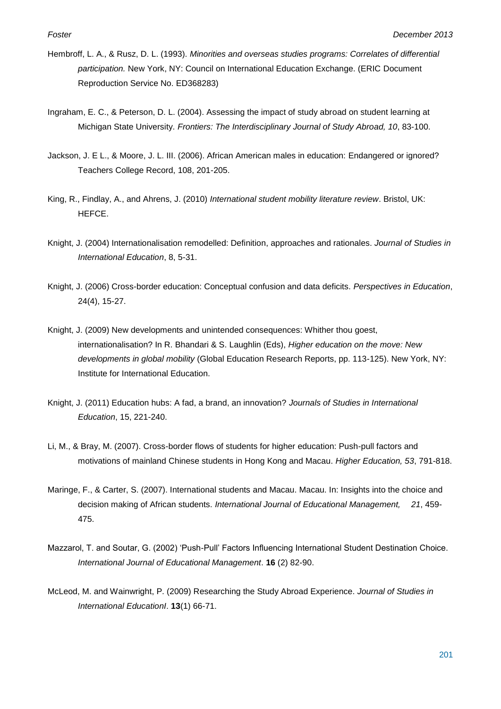- Hembroff, L. A., & Rusz, D. L. (1993). *Minorities and overseas studies programs: Correlates of differential participation.* New York, NY: Council on International Education Exchange. (ERIC Document Reproduction Service No. ED368283)
- Ingraham, E. C., & Peterson, D. L. (2004). Assessing the impact of study abroad on student learning at Michigan State University. *Frontiers: The Interdisciplinary Journal of Study Abroad, 10*, 83-100.
- Jackson, J. E L., & Moore, J. L. III. (2006). African American males in education: [Endangered](http://www.thefreedictionary.com/endangered) or ignored? Teachers College Record, 108, 201-205.
- King, R., Findlay, A., and Ahrens, J. (2010) *International student mobility literature review*. Bristol, UK: HEFCE.
- Knight, J. (2004) Internationalisation remodelled: Definition, approaches and rationales. *Journal of Studies in International Education*, 8, 5-31.
- Knight, J. (2006) Cross-border education: Conceptual confusion and data deficits. *Perspectives in Education*, 24(4), 15-27.
- Knight, J. (2009) New developments and unintended consequences: Whither thou goest, internationalisation? In R. Bhandari & S. Laughlin (Eds), *Higher education on the move: New developments in global mobility* (Global Education Research Reports, pp. 113-125). New York, NY: Institute for International Education.
- Knight, J. (2011) Education hubs: A fad, a brand, an innovation? *Journals of Studies in International Education*, 15, 221-240.
- Li, M., & Bray, M. (2007). Cross-border flows of students for higher education: Push-pull factors and motivations of mainland Chinese students in Hong Kong and Macau. *Higher Education, 53*, 791-818.
- Maringe, F., & Carter, S. (2007). International students and Macau. Macau. In: Insights into the choice and decision making of African students. *International Journal of Educational Management, 21*, 459- 475.
- Mazzarol, T. and Soutar, G. (2002) 'Push-Pull' Factors Influencing International Student Destination Choice. *International Journal of Educational Management*. **16** (2) 82-90.
- McLeod, M. and Wainwright, P. (2009) Researching the Study Abroad Experience. *Journal of Studies in International EducationI*. **13**(1) 66-71.